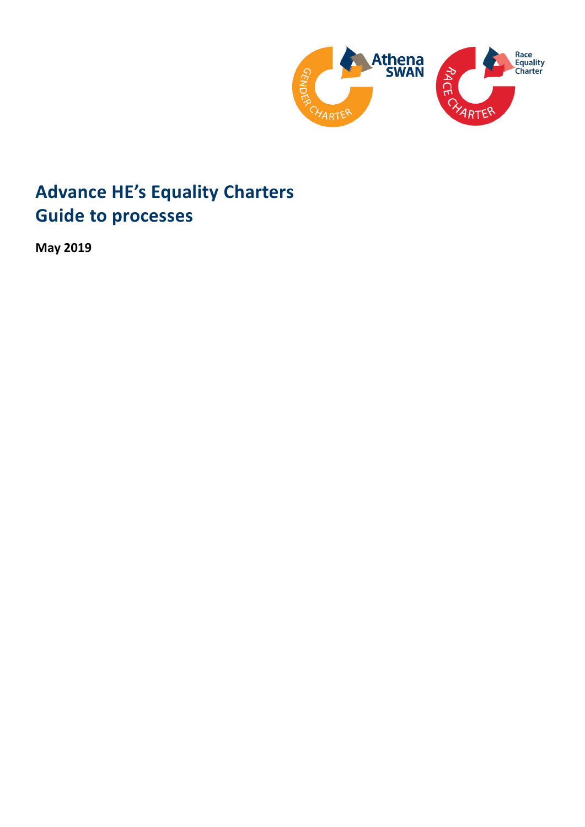

# **Advance HE's Equality Charters Guide to processes**

**May 2019**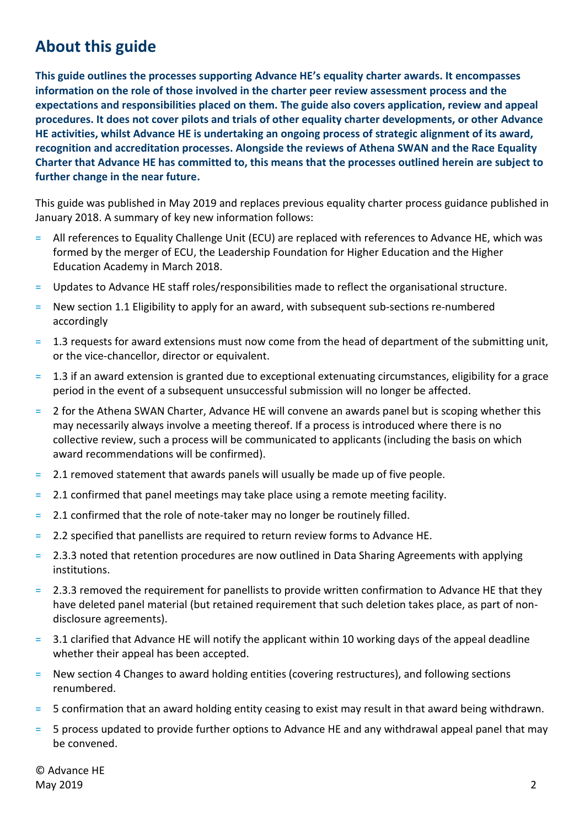## <span id="page-1-0"></span>**About this guide**

**This guide outlines the processes supporting Advance HE's equality charter awards. It encompasses information on the role of those involved in the charter peer review assessment process and the expectations and responsibilities placed on them. The guide also covers application, review and appeal procedures. It does not cover pilots and trials of other equality charter developments, or other Advance HE activities, whilst Advance HE is undertaking an ongoing process of strategic alignment of its award, recognition and accreditation processes. Alongside the reviews of Athena SWAN and the Race Equality Charter that Advance HE has committed to, this means that the processes outlined herein are subject to further change in the near future.**

This guide was published in May 2019 and replaces previous equality charter process guidance published in January 2018. A summary of key new information follows:

- = All references to Equality Challenge Unit (ECU) are replaced with references to Advance HE, which was formed by the merger of ECU, the Leadership Foundation for Higher Education and the Higher Education Academy in March 2018.
- = Updates to Advance HE staff roles/responsibilities made to reflect the organisational structure.
- = New section 1.1 Eligibility to apply for an award, with subsequent sub-sections re-numbered accordingly
- = 1.3 requests for award extensions must now come from the head of department of the submitting unit, or the vice-chancellor, director or equivalent.
- = 1.3 if an award extension is granted due to exceptional extenuating circumstances, eligibility for a grace period in the event of a subsequent unsuccessful submission will no longer be affected.
- = 2 for the Athena SWAN Charter, Advance HE will convene an awards panel but is scoping whether this may necessarily always involve a meeting thereof. If a process is introduced where there is no collective review, such a process will be communicated to applicants (including the basis on which award recommendations will be confirmed).
- = 2.1 removed statement that awards panels will usually be made up of five people.
- = 2.1 confirmed that panel meetings may take place using a remote meeting facility.
- $=$  2.1 confirmed that the role of note-taker may no longer be routinely filled.
- = 2.2 specified that panellists are required to return review forms to Advance HE.
- = 2.3.3 noted that retention procedures are now outlined in Data Sharing Agreements with applying institutions.
- = 2.3.3 removed the requirement for panellists to provide written confirmation to Advance HE that they have deleted panel material (but retained requirement that such deletion takes place, as part of nondisclosure agreements).
- 3.1 clarified that Advance HE will notify the applicant within 10 working days of the appeal deadline whether their appeal has been accepted.
- = New section 4 Changes to award holding entities (covering restructures), and following sections renumbered.
- = 5 confirmation that an award holding entity ceasing to exist may result in that award being withdrawn.
- = 5 process updated to provide further options to Advance HE and any withdrawal appeal panel that may be convened.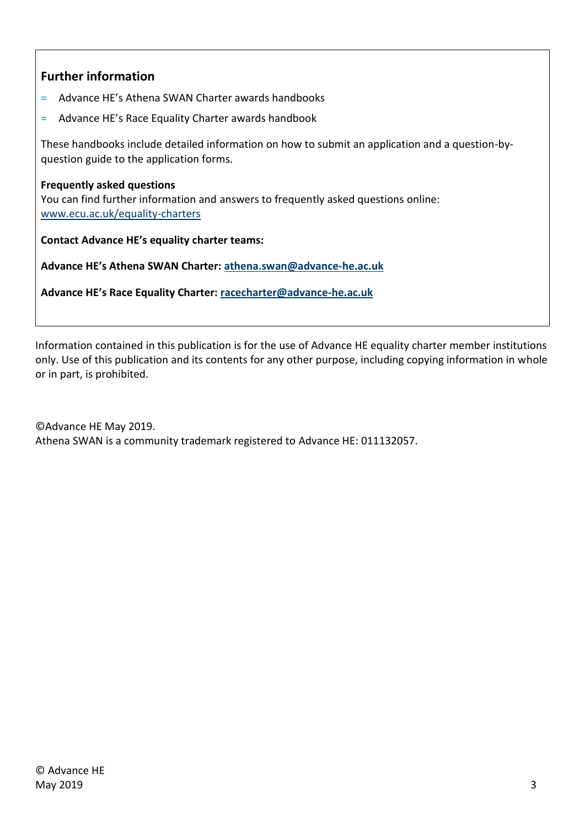## <span id="page-2-0"></span>**Further information**

- = Advance HE's Athena SWAN Charter awards handbooks
- = Advance HE's Race Equality Charter awards handbook

These handbooks include detailed information on how to submit an application and a question-byquestion guide to the application forms.

#### <span id="page-2-1"></span>**Frequently asked questions**

You can find further information and answers to frequently asked questions online: [www.ecu.ac.uk/equality-charters](http://www.ecu.ac.uk/equality-charters)

<span id="page-2-2"></span>**Contact Advance HE's equality charter teams:**

**Advance HE's Athena SWAN Charter: [athena.swan@advance-he.ac.uk](mailto:athena.swan@advance-he.ac.uk)**

**Advance HE's Race Equality Charter: [racecharter@advance-he.ac.uk](mailto:racecharter@advance-he.ac.uk)**

Information contained in this publication is for the use of Advance HE equality charter member institutions only. Use of this publication and its contents for any other purpose, including copying information in whole or in part, is prohibited.

©Advance HE May 2019. Athena SWAN is a community trademark registered to Advance HE: 011132057.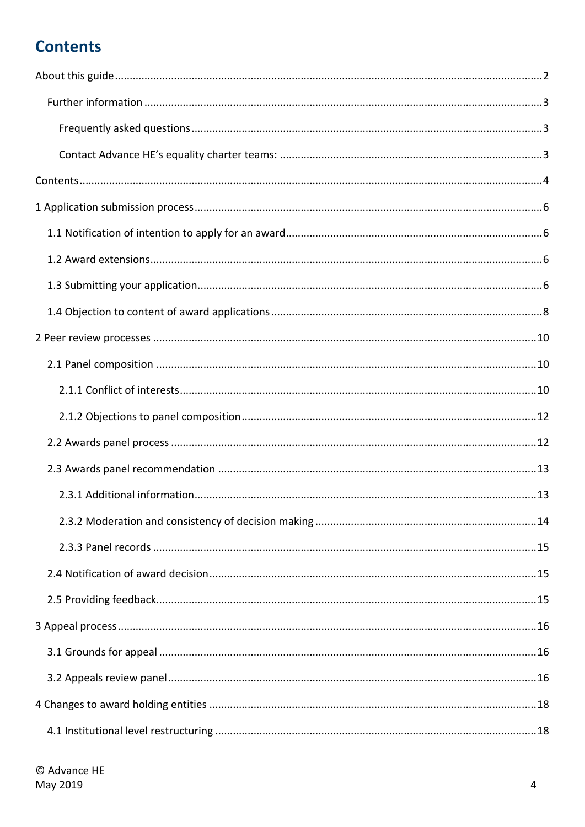# <span id="page-3-0"></span>**Contents**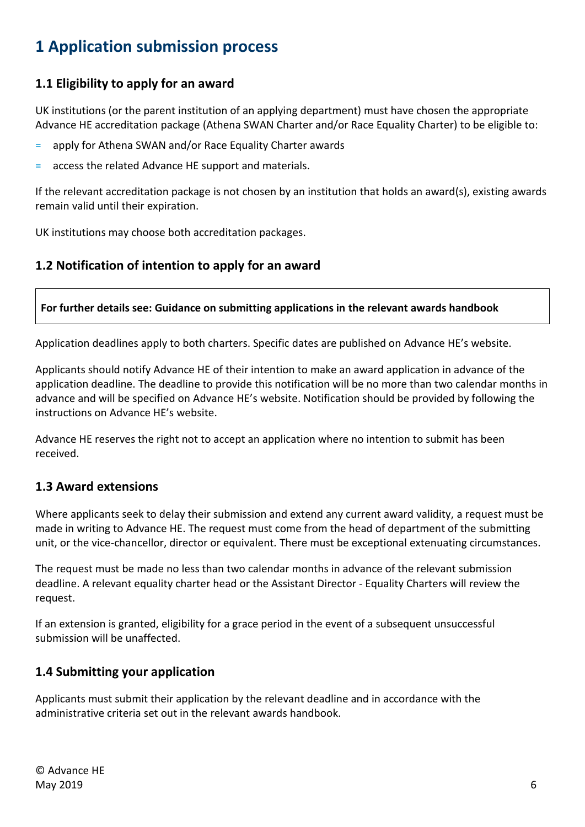# <span id="page-5-0"></span>**1 Application submission process**

## <span id="page-5-1"></span>**1.1 Eligibility to apply for an award**

UK institutions (or the parent institution of an applying department) must have chosen the appropriate Advance HE accreditation package (Athena SWAN Charter and/or Race Equality Charter) to be eligible to:

- = apply for Athena SWAN and/or Race Equality Charter awards
- = access the related Advance HE support and materials.

If the relevant accreditation package is not chosen by an institution that holds an award(s), existing awards remain valid until their expiration.

UK institutions may choose both accreditation packages.

## **1.2 Notification of intention to apply for an award**

**For further details see: Guidance on submitting applications in the relevant awards handbook** 

Application deadlines apply to both charters. Specific dates are published on Advance HE's website.

Applicants should notify Advance HE of their intention to make an award application in advance of the application deadline. The deadline to provide this notification will be no more than two calendar months in advance and will be specified on Advance HE's website. Notification should be provided by following the instructions on Advance HE's website.

Advance HE reserves the right not to accept an application where no intention to submit has been received.

## <span id="page-5-2"></span>**1.3 Award extensions**

Where applicants seek to delay their submission and extend any current award validity, a request must be made in writing to Advance HE. The request must come from the head of department of the submitting unit, or the vice-chancellor, director or equivalent. There must be exceptional extenuating circumstances.

The request must be made no less than two calendar months in advance of the relevant submission deadline. A relevant equality charter head or the Assistant Director - Equality Charters will review the request.

If an extension is granted, eligibility for a grace period in the event of a subsequent unsuccessful submission will be unaffected.

## <span id="page-5-3"></span>**1.4 Submitting your application**

Applicants must submit their application by the relevant deadline and in accordance with the administrative criteria set out in the relevant awards handbook.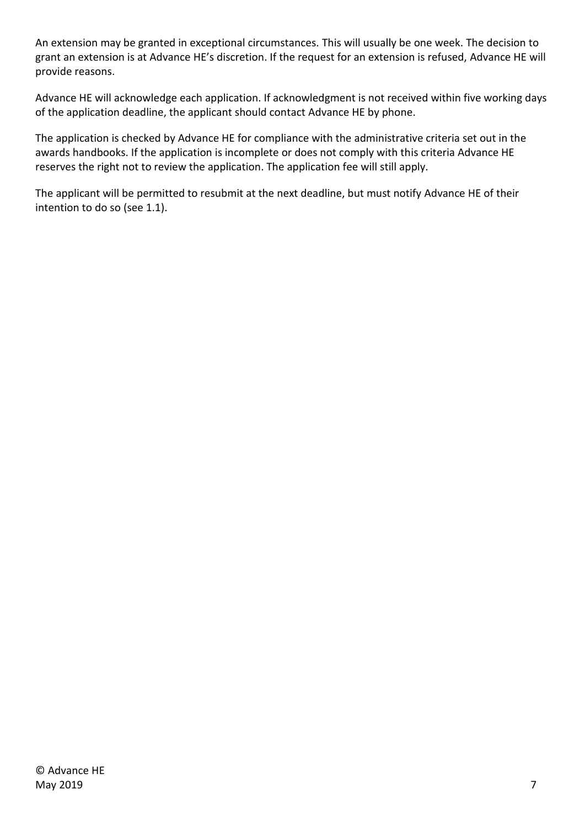An extension may be granted in exceptional circumstances. This will usually be one week. The decision to grant an extension is at Advance HE's discretion. If the request for an extension is refused, Advance HE will provide reasons.

Advance HE will acknowledge each application. If acknowledgment is not received within five working days of the application deadline, the applicant should contact Advance HE by phone.

The application is checked by Advance HE for compliance with the administrative criteria set out in the awards handbooks. If the application is incomplete or does not comply with this criteria Advance HE reserves the right not to review the application. The application fee will still apply.

The applicant will be permitted to resubmit at the next deadline, but must notify Advance HE of their intention to do so (see 1.1).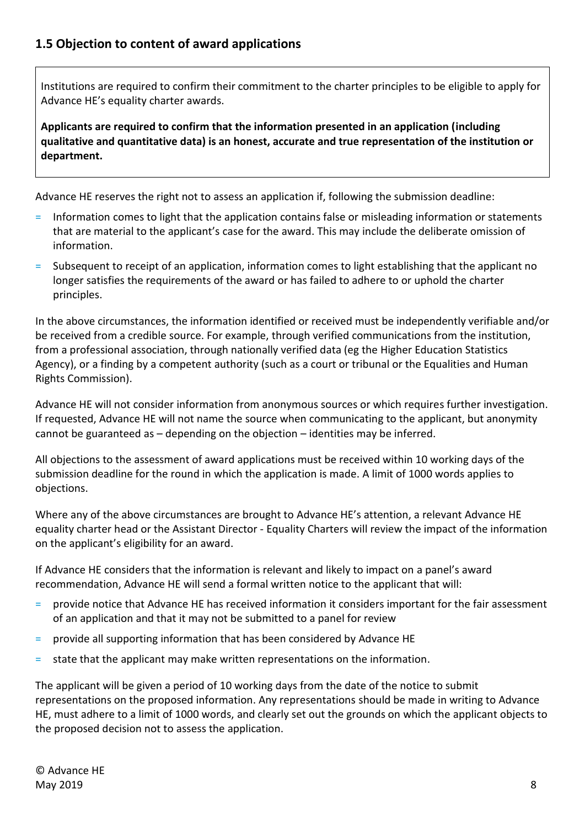<span id="page-7-0"></span>Institutions are required to confirm their commitment to the charter principles to be eligible to apply for Advance HE's equality charter awards.

**Applicants are required to confirm that the information presented in an application (including qualitative and quantitative data) is an honest, accurate and true representation of the institution or department.**

Advance HE reserves the right not to assess an application if, following the submission deadline:

- = Information comes to light that the application contains false or misleading information or statements that are material to the applicant's case for the award. This may include the deliberate omission of information.
- = Subsequent to receipt of an application, information comes to light establishing that the applicant no longer satisfies the requirements of the award or has failed to adhere to or uphold the charter principles.

In the above circumstances, the information identified or received must be independently verifiable and/or be received from a credible source. For example, through verified communications from the institution, from a professional association, through nationally verified data (eg the Higher Education Statistics Agency), or a finding by a competent authority (such as a court or tribunal or the Equalities and Human Rights Commission).

Advance HE will not consider information from anonymous sources or which requires further investigation. If requested, Advance HE will not name the source when communicating to the applicant, but anonymity cannot be guaranteed as – depending on the objection – identities may be inferred.

All objections to the assessment of award applications must be received within 10 working days of the submission deadline for the round in which the application is made. A limit of 1000 words applies to objections.

Where any of the above circumstances are brought to Advance HE's attention, a relevant Advance HE equality charter head or the Assistant Director - Equality Charters will review the impact of the information on the applicant's eligibility for an award.

If Advance HE considers that the information is relevant and likely to impact on a panel's award recommendation, Advance HE will send a formal written notice to the applicant that will:

- = provide notice that Advance HE has received information it considers important for the fair assessment of an application and that it may not be submitted to a panel for review
- = provide all supporting information that has been considered by Advance HE
- = state that the applicant may make written representations on the information.

The applicant will be given a period of 10 working days from the date of the notice to submit representations on the proposed information. Any representations should be made in writing to Advance HE, must adhere to a limit of 1000 words, and clearly set out the grounds on which the applicant objects to the proposed decision not to assess the application.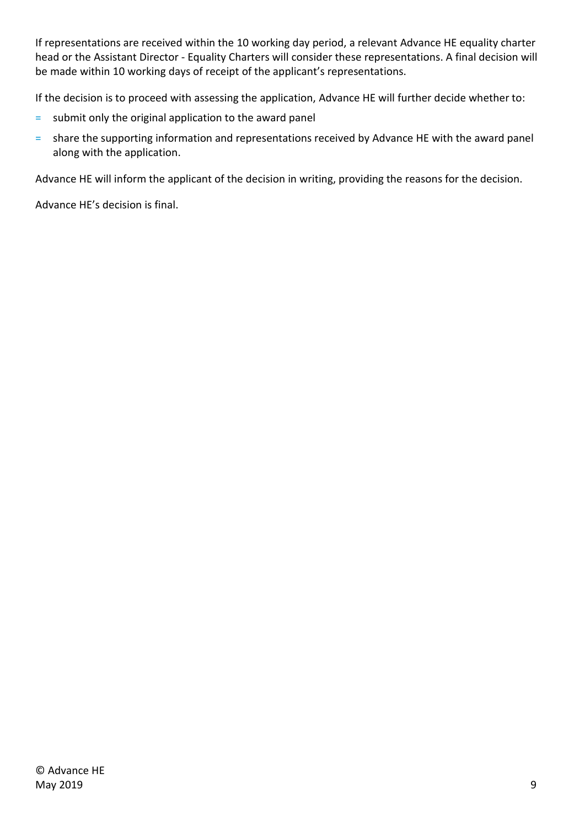If representations are received within the 10 working day period, a relevant Advance HE equality charter head or the Assistant Director - Equality Charters will consider these representations. A final decision will be made within 10 working days of receipt of the applicant's representations.

If the decision is to proceed with assessing the application, Advance HE will further decide whether to:

- = submit only the original application to the award panel
- = share the supporting information and representations received by Advance HE with the award panel along with the application.

Advance HE will inform the applicant of the decision in writing, providing the reasons for the decision.

Advance HE's decision is final.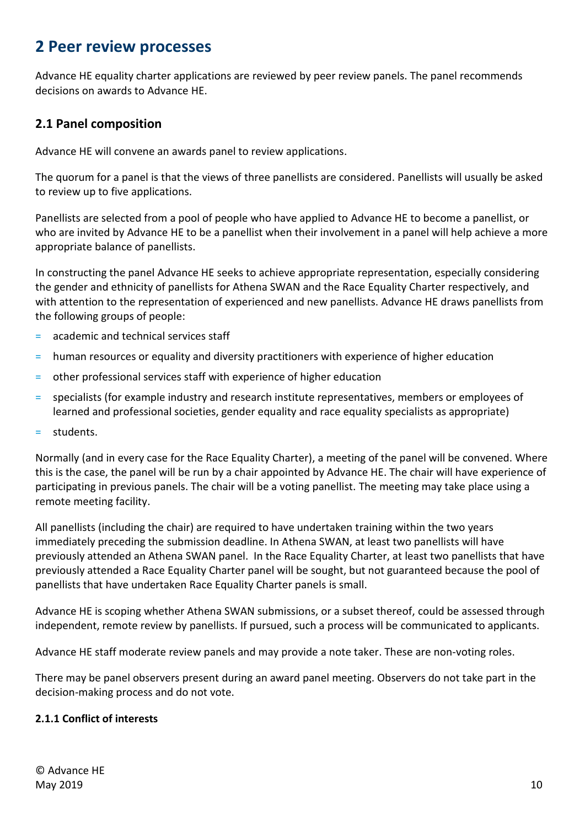## <span id="page-9-0"></span>**2 Peer review processes**

Advance HE equality charter applications are reviewed by peer review panels. The panel recommends decisions on awards to Advance HE.

## <span id="page-9-1"></span>**2.1 Panel composition**

Advance HE will convene an awards panel to review applications.

The quorum for a panel is that the views of three panellists are considered. Panellists will usually be asked to review up to five applications.

Panellists are selected from a pool of people who have applied to Advance HE to become a panellist, or who are invited by Advance HE to be a panellist when their involvement in a panel will help achieve a more appropriate balance of panellists.

In constructing the panel Advance HE seeks to achieve appropriate representation, especially considering the gender and ethnicity of panellists for Athena SWAN and the Race Equality Charter respectively, and with attention to the representation of experienced and new panellists. Advance HE draws panellists from the following groups of people:

- = academic and technical services staff
- = human resources or equality and diversity practitioners with experience of higher education
- = other professional services staff with experience of higher education
- = specialists (for example industry and research institute representatives, members or employees of learned and professional societies, gender equality and race equality specialists as appropriate)
- = students.

Normally (and in every case for the Race Equality Charter), a meeting of the panel will be convened. Where this is the case, the panel will be run by a chair appointed by Advance HE. The chair will have experience of participating in previous panels. The chair will be a voting panellist. The meeting may take place using a remote meeting facility.

All panellists (including the chair) are required to have undertaken training within the two years immediately preceding the submission deadline. In Athena SWAN, at least two panellists will have previously attended an Athena SWAN panel. In the Race Equality Charter, at least two panellists that have previously attended a Race Equality Charter panel will be sought, but not guaranteed because the pool of panellists that have undertaken Race Equality Charter panels is small.

Advance HE is scoping whether Athena SWAN submissions, or a subset thereof, could be assessed through independent, remote review by panellists. If pursued, such a process will be communicated to applicants.

Advance HE staff moderate review panels and may provide a note taker. These are non-voting roles.

There may be panel observers present during an award panel meeting. Observers do not take part in the decision-making process and do not vote.

#### <span id="page-9-2"></span>**2.1.1 Conflict of interests**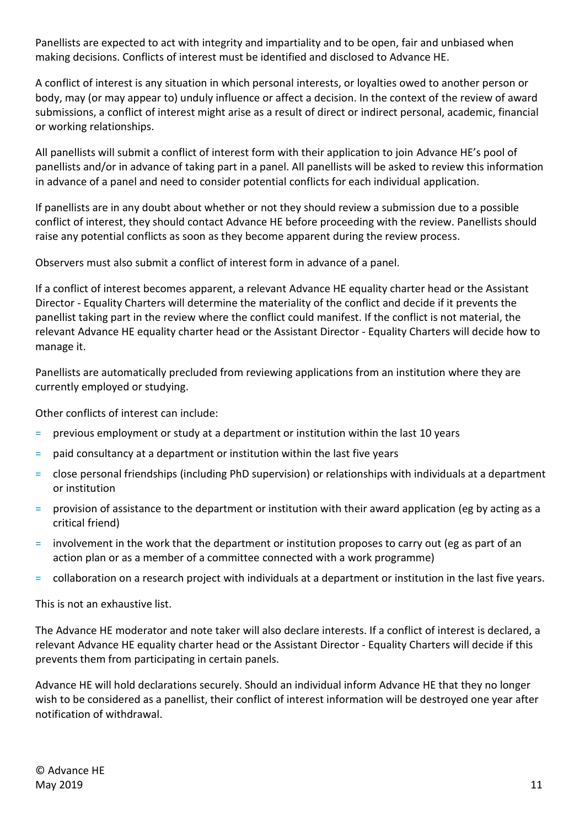Panellists are expected to act with integrity and impartiality and to be open, fair and unbiased when making decisions. Conflicts of interest must be identified and disclosed to Advance HE.

A conflict of interest is any situation in which personal interests, or loyalties owed to another person or body, may (or may appear to) unduly influence or affect a decision. In the context of the review of award submissions, a conflict of interest might arise as a result of direct or indirect personal, academic, financial or working relationships.

All panellists will submit a conflict of interest form with their application to join Advance HE's pool of panellists and/or in advance of taking part in a panel. All panellists will be asked to review this information in advance of a panel and need to consider potential conflicts for each individual application.

If panellists are in any doubt about whether or not they should review a submission due to a possible conflict of interest, they should contact Advance HE before proceeding with the review. Panellists should raise any potential conflicts as soon as they become apparent during the review process.

Observers must also submit a conflict of interest form in advance of a panel.

If a conflict of interest becomes apparent, a relevant Advance HE equality charter head or the Assistant Director - Equality Charters will determine the materiality of the conflict and decide if it prevents the panellist taking part in the review where the conflict could manifest. If the conflict is not material, the relevant Advance HE equality charter head or the Assistant Director - Equality Charters will decide how to manage it.

Panellists are automatically precluded from reviewing applications from an institution where they are currently employed or studying.

Other conflicts of interest can include:

- = previous employment or study at a department or institution within the last 10 years
- = paid consultancy at a department or institution within the last five years
- = close personal friendships (including PhD supervision) or relationships with individuals at a department or institution
- = provision of assistance to the department or institution with their award application (eg by acting as a critical friend)
- = involvement in the work that the department or institution proposes to carry out (eg as part of an action plan or as a member of a committee connected with a work programme)
- = collaboration on a research project with individuals at a department or institution in the last five years.

This is not an exhaustive list.

The Advance HE moderator and note taker will also declare interests. If a conflict of interest is declared, a relevant Advance HE equality charter head or the Assistant Director - Equality Charters will decide if this prevents them from participating in certain panels.

Advance HE will hold declarations securely. Should an individual inform Advance HE that they no longer wish to be considered as a panellist, their conflict of interest information will be destroyed one year after notification of withdrawal.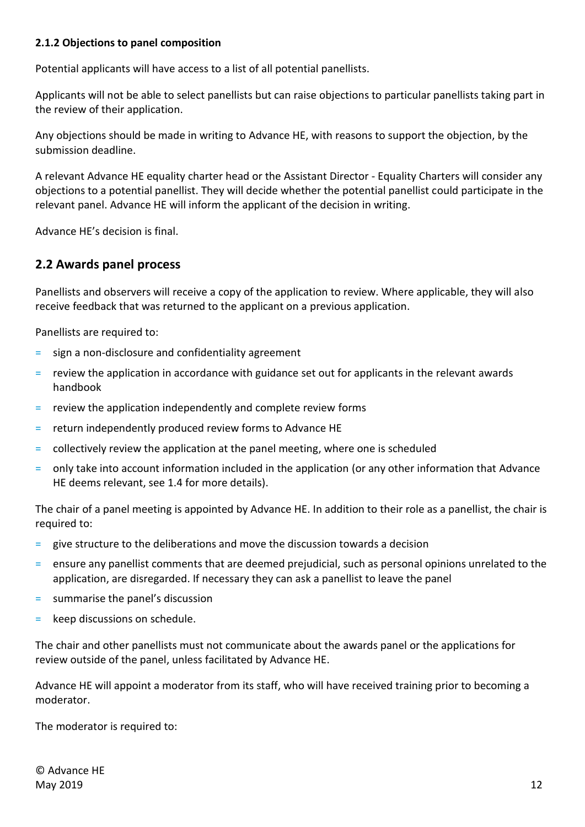#### <span id="page-11-0"></span>**2.1.2 Objections to panel composition**

Potential applicants will have access to a list of all potential panellists.

Applicants will not be able to select panellists but can raise objections to particular panellists taking part in the review of their application.

Any objections should be made in writing to Advance HE, with reasons to support the objection, by the submission deadline.

A relevant Advance HE equality charter head or the Assistant Director - Equality Charters will consider any objections to a potential panellist. They will decide whether the potential panellist could participate in the relevant panel. Advance HE will inform the applicant of the decision in writing.

<span id="page-11-1"></span>Advance HE's decision is final.

#### **2.2 Awards panel process**

Panellists and observers will receive a copy of the application to review. Where applicable, they will also receive feedback that was returned to the applicant on a previous application.

Panellists are required to:

- = sign a non-disclosure and confidentiality agreement
- = review the application in accordance with guidance set out for applicants in the relevant awards handbook
- $=$  review the application independently and complete review forms
- = return independently produced review forms to Advance HE
- collectively review the application at the panel meeting, where one is scheduled
- = only take into account information included in the application (or any other information that Advance HE deems relevant, see 1.4 for more details).

The chair of a panel meeting is appointed by Advance HE. In addition to their role as a panellist, the chair is required to:

- = give structure to the deliberations and move the discussion towards a decision
- = ensure any panellist comments that are deemed prejudicial, such as personal opinions unrelated to the application, are disregarded. If necessary they can ask a panellist to leave the panel
- = summarise the panel's discussion
- = keep discussions on schedule.

The chair and other panellists must not communicate about the awards panel or the applications for review outside of the panel, unless facilitated by Advance HE.

Advance HE will appoint a moderator from its staff, who will have received training prior to becoming a moderator.

The moderator is required to:

© Advance HE May  $2019$  and  $12$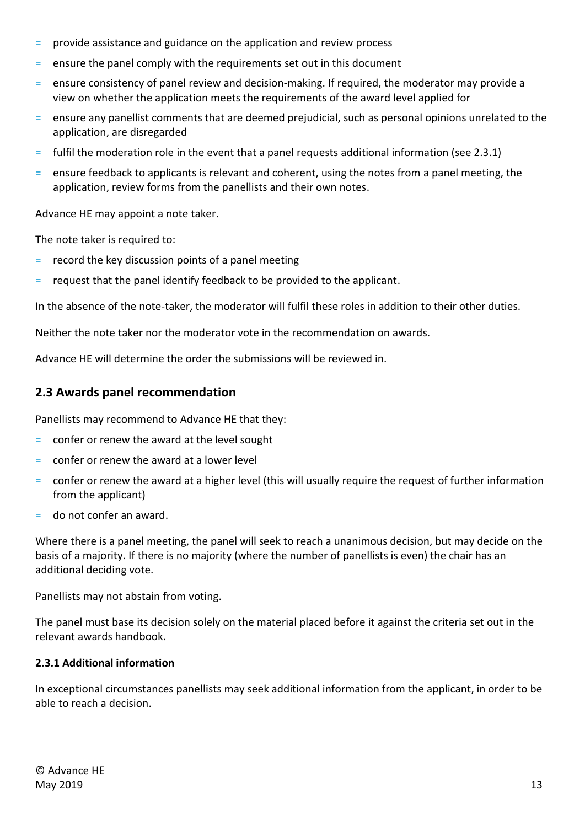- = provide assistance and guidance on the application and review process
- ensure the panel comply with the requirements set out in this document
- = ensure consistency of panel review and decision-making. If required, the moderator may provide a view on whether the application meets the requirements of the award level applied for
- = ensure any panellist comments that are deemed prejudicial, such as personal opinions unrelated to the application, are disregarded
- = fulfil the moderation role in the event that a panel requests additional information (see 2.3.1)
- = ensure feedback to applicants is relevant and coherent, using the notes from a panel meeting, the application, review forms from the panellists and their own notes.

Advance HE may appoint a note taker.

The note taker is required to:

- = record the key discussion points of a panel meeting
- = request that the panel identify feedback to be provided to the applicant.

In the absence of the note-taker, the moderator will fulfil these roles in addition to their other duties.

Neither the note taker nor the moderator vote in the recommendation on awards.

<span id="page-12-0"></span>Advance HE will determine the order the submissions will be reviewed in.

#### **2.3 Awards panel recommendation**

Panellists may recommend to Advance HE that they:

- = confer or renew the award at the level sought
- confer or renew the award at a lower level
- = confer or renew the award at a higher level (this will usually require the request of further information from the applicant)
- = do not confer an award.

Where there is a panel meeting, the panel will seek to reach a unanimous decision, but may decide on the basis of a majority. If there is no majority (where the number of panellists is even) the chair has an additional deciding vote.

Panellists may not abstain from voting.

<span id="page-12-1"></span>The panel must base its decision solely on the material placed before it against the criteria set out in the relevant awards handbook.

#### **2.3.1 Additional information**

In exceptional circumstances panellists may seek additional information from the applicant, in order to be able to reach a decision.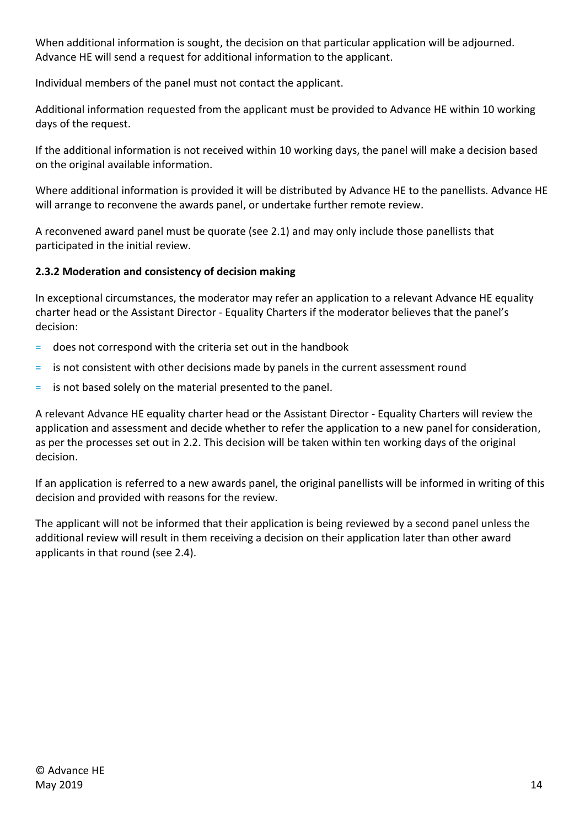When additional information is sought, the decision on that particular application will be adjourned. Advance HE will send a request for additional information to the applicant.

Individual members of the panel must not contact the applicant.

Additional information requested from the applicant must be provided to Advance HE within 10 working days of the request.

If the additional information is not received within 10 working days, the panel will make a decision based on the original available information.

Where additional information is provided it will be distributed by Advance HE to the panellists. Advance HE will arrange to reconvene the awards panel, or undertake further remote review.

A reconvened award panel must be quorate (see 2.1) and may only include those panellists that participated in the initial review.

### <span id="page-13-0"></span>**2.3.2 Moderation and consistency of decision making**

In exceptional circumstances, the moderator may refer an application to a relevant Advance HE equality charter head or the Assistant Director - Equality Charters if the moderator believes that the panel's decision:

- = does not correspond with the criteria set out in the handbook
- = is not consistent with other decisions made by panels in the current assessment round
- = is not based solely on the material presented to the panel.

A relevant Advance HE equality charter head or the Assistant Director - Equality Charters will review the application and assessment and decide whether to refer the application to a new panel for consideration, as per the processes set out in 2.2. This decision will be taken within ten working days of the original decision.

If an application is referred to a new awards panel, the original panellists will be informed in writing of this decision and provided with reasons for the review.

The applicant will not be informed that their application is being reviewed by a second panel unless the additional review will result in them receiving a decision on their application later than other award applicants in that round (see 2.4).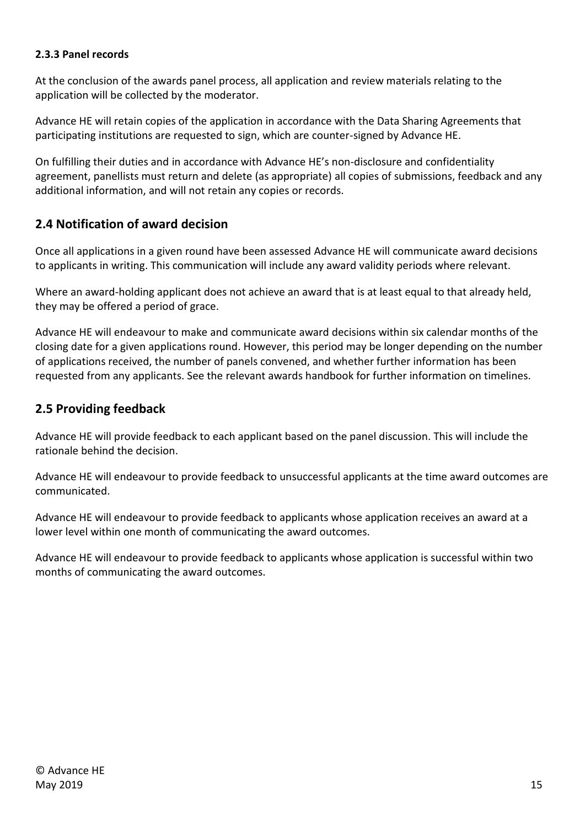#### <span id="page-14-0"></span>**2.3.3 Panel records**

At the conclusion of the awards panel process, all application and review materials relating to the application will be collected by the moderator.

Advance HE will retain copies of the application in accordance with the Data Sharing Agreements that participating institutions are requested to sign, which are counter-signed by Advance HE.

On fulfilling their duties and in accordance with Advance HE's non-disclosure and confidentiality agreement, panellists must return and delete (as appropriate) all copies of submissions, feedback and any additional information, and will not retain any copies or records.

## <span id="page-14-1"></span>**2.4 Notification of award decision**

Once all applications in a given round have been assessed Advance HE will communicate award decisions to applicants in writing. This communication will include any award validity periods where relevant.

Where an award-holding applicant does not achieve an award that is at least equal to that already held, they may be offered a period of grace.

Advance HE will endeavour to make and communicate award decisions within six calendar months of the closing date for a given applications round. However, this period may be longer depending on the number of applications received, the number of panels convened, and whether further information has been requested from any applicants. See the relevant awards handbook for further information on timelines.

## <span id="page-14-2"></span>**2.5 Providing feedback**

Advance HE will provide feedback to each applicant based on the panel discussion. This will include the rationale behind the decision.

Advance HE will endeavour to provide feedback to unsuccessful applicants at the time award outcomes are communicated.

Advance HE will endeavour to provide feedback to applicants whose application receives an award at a lower level within one month of communicating the award outcomes.

Advance HE will endeavour to provide feedback to applicants whose application is successful within two months of communicating the award outcomes.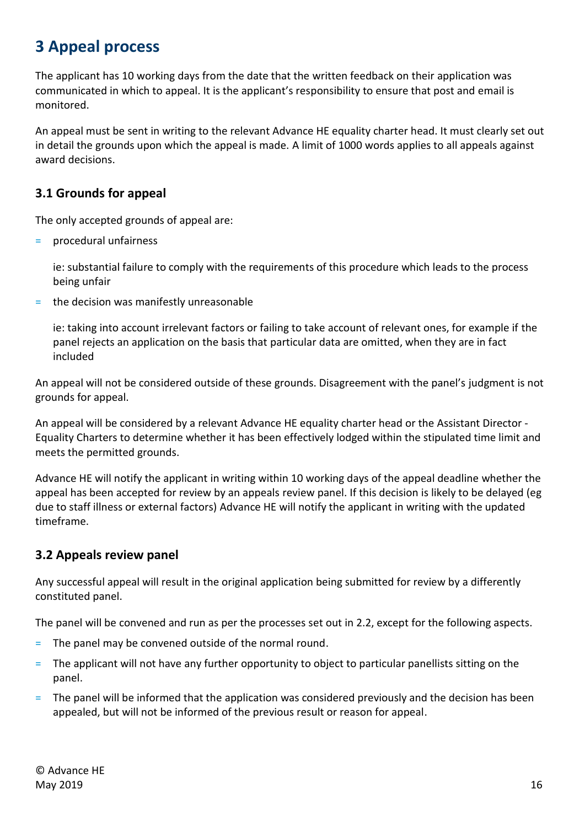# <span id="page-15-0"></span>**3 Appeal process**

The applicant has 10 working days from the date that the written feedback on their application was communicated in which to appeal. It is the applicant's responsibility to ensure that post and email is monitored.

An appeal must be sent in writing to the relevant Advance HE equality charter head. It must clearly set out in detail the grounds upon which the appeal is made. A limit of 1000 words applies to all appeals against award decisions.

## <span id="page-15-1"></span>**3.1 Grounds for appeal**

The only accepted grounds of appeal are:

= procedural unfairness

ie: substantial failure to comply with the requirements of this procedure which leads to the process being unfair

= the decision was manifestly unreasonable

ie: taking into account irrelevant factors or failing to take account of relevant ones, for example if the panel rejects an application on the basis that particular data are omitted, when they are in fact included

An appeal will not be considered outside of these grounds. Disagreement with the panel's judgment is not grounds for appeal.

An appeal will be considered by a relevant Advance HE equality charter head or the Assistant Director - Equality Charters to determine whether it has been effectively lodged within the stipulated time limit and meets the permitted grounds.

Advance HE will notify the applicant in writing within 10 working days of the appeal deadline whether the appeal has been accepted for review by an appeals review panel. If this decision is likely to be delayed (eg due to staff illness or external factors) Advance HE will notify the applicant in writing with the updated timeframe.

## <span id="page-15-2"></span>**3.2 Appeals review panel**

Any successful appeal will result in the original application being submitted for review by a differently constituted panel.

The panel will be convened and run as per the processes set out in 2.2, except for the following aspects.

- = The panel may be convened outside of the normal round.
- = The applicant will not have any further opportunity to object to particular panellists sitting on the panel.
- = The panel will be informed that the application was considered previously and the decision has been appealed, but will not be informed of the previous result or reason for appeal.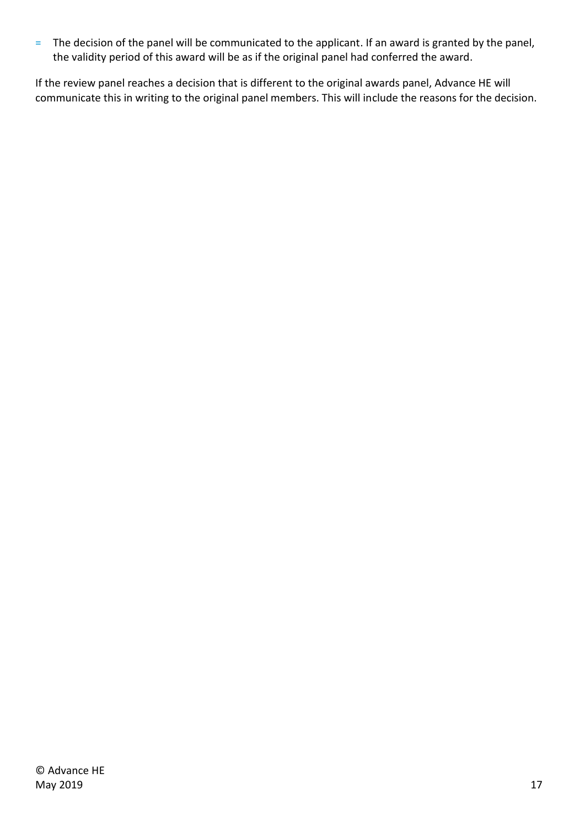= The decision of the panel will be communicated to the applicant. If an award is granted by the panel, the validity period of this award will be as if the original panel had conferred the award.

If the review panel reaches a decision that is different to the original awards panel, Advance HE will communicate this in writing to the original panel members. This will include the reasons for the decision.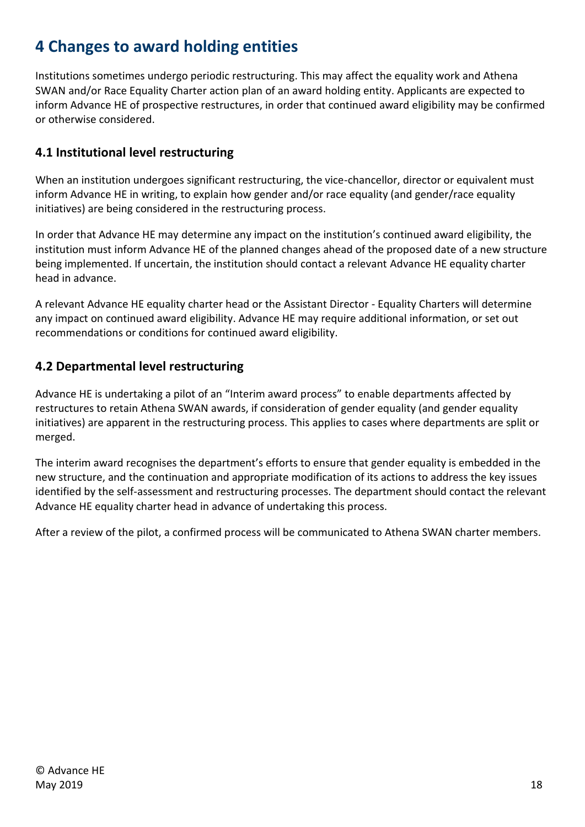## <span id="page-17-0"></span>**4 Changes to award holding entities**

Institutions sometimes undergo periodic restructuring. This may affect the equality work and Athena SWAN and/or Race Equality Charter action plan of an award holding entity. Applicants are expected to inform Advance HE of prospective restructures, in order that continued award eligibility may be confirmed or otherwise considered.

## <span id="page-17-1"></span>**4.1 Institutional level restructuring**

When an institution undergoes significant restructuring, the vice-chancellor, director or equivalent must inform Advance HE in writing, to explain how gender and/or race equality (and gender/race equality initiatives) are being considered in the restructuring process.

In order that Advance HE may determine any impact on the institution's continued award eligibility, the institution must inform Advance HE of the planned changes ahead of the proposed date of a new structure being implemented. If uncertain, the institution should contact a relevant Advance HE equality charter head in advance.

A relevant Advance HE equality charter head or the Assistant Director - Equality Charters will determine any impact on continued award eligibility. Advance HE may require additional information, or set out recommendations or conditions for continued award eligibility.

## <span id="page-17-2"></span>**4.2 Departmental level restructuring**

Advance HE is undertaking a pilot of an "Interim award process" to enable departments affected by restructures to retain Athena SWAN awards, if consideration of gender equality (and gender equality initiatives) are apparent in the restructuring process. This applies to cases where departments are split or merged.

The interim award recognises the department's efforts to ensure that gender equality is embedded in the new structure, and the continuation and appropriate modification of its actions to address the key issues identified by the self-assessment and restructuring processes. The department should contact the relevant Advance HE equality charter head in advance of undertaking this process.

After a review of the pilot, a confirmed process will be communicated to Athena SWAN charter members.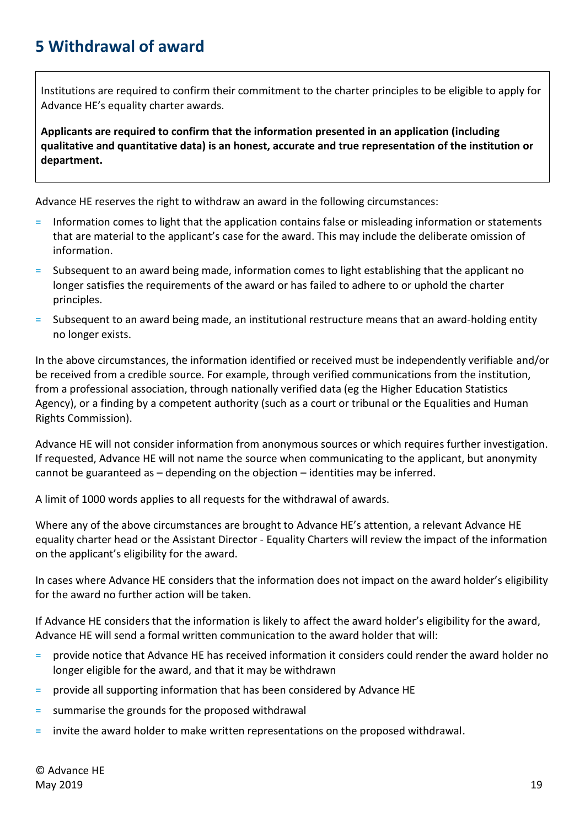## <span id="page-18-0"></span>**5 Withdrawal of award**

Institutions are required to confirm their commitment to the charter principles to be eligible to apply for Advance HE's equality charter awards.

**Applicants are required to confirm that the information presented in an application (including qualitative and quantitative data) is an honest, accurate and true representation of the institution or department.**

Advance HE reserves the right to withdraw an award in the following circumstances:

- = Information comes to light that the application contains false or misleading information or statements that are material to the applicant's case for the award. This may include the deliberate omission of information.
- = Subsequent to an award being made, information comes to light establishing that the applicant no longer satisfies the requirements of the award or has failed to adhere to or uphold the charter principles.
- Subsequent to an award being made, an institutional restructure means that an award-holding entity no longer exists.

In the above circumstances, the information identified or received must be independently verifiable and/or be received from a credible source. For example, through verified communications from the institution, from a professional association, through nationally verified data (eg the Higher Education Statistics Agency), or a finding by a competent authority (such as a court or tribunal or the Equalities and Human Rights Commission).

Advance HE will not consider information from anonymous sources or which requires further investigation. If requested, Advance HE will not name the source when communicating to the applicant, but anonymity cannot be guaranteed as – depending on the objection – identities may be inferred.

A limit of 1000 words applies to all requests for the withdrawal of awards.

Where any of the above circumstances are brought to Advance HE's attention, a relevant Advance HE equality charter head or the Assistant Director - Equality Charters will review the impact of the information on the applicant's eligibility for the award.

In cases where Advance HE considers that the information does not impact on the award holder's eligibility for the award no further action will be taken.

If Advance HE considers that the information is likely to affect the award holder's eligibility for the award, Advance HE will send a formal written communication to the award holder that will:

- = provide notice that Advance HE has received information it considers could render the award holder no longer eligible for the award, and that it may be withdrawn
- = provide all supporting information that has been considered by Advance HE
- summarise the grounds for the proposed withdrawal
- = invite the award holder to make written representations on the proposed withdrawal.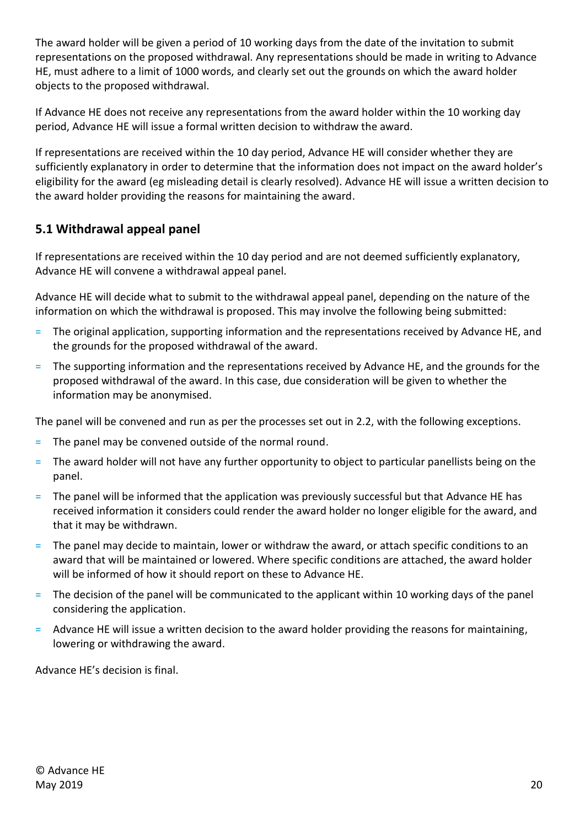The award holder will be given a period of 10 working days from the date of the invitation to submit representations on the proposed withdrawal. Any representations should be made in writing to Advance HE, must adhere to a limit of 1000 words, and clearly set out the grounds on which the award holder objects to the proposed withdrawal.

If Advance HE does not receive any representations from the award holder within the 10 working day period, Advance HE will issue a formal written decision to withdraw the award.

If representations are received within the 10 day period, Advance HE will consider whether they are sufficiently explanatory in order to determine that the information does not impact on the award holder's eligibility for the award (eg misleading detail is clearly resolved). Advance HE will issue a written decision to the award holder providing the reasons for maintaining the award.

## <span id="page-19-0"></span>**5.1 Withdrawal appeal panel**

If representations are received within the 10 day period and are not deemed sufficiently explanatory, Advance HE will convene a withdrawal appeal panel.

Advance HE will decide what to submit to the withdrawal appeal panel, depending on the nature of the information on which the withdrawal is proposed. This may involve the following being submitted:

- = The original application, supporting information and the representations received by Advance HE, and the grounds for the proposed withdrawal of the award.
- = The supporting information and the representations received by Advance HE, and the grounds for the proposed withdrawal of the award. In this case, due consideration will be given to whether the information may be anonymised.

The panel will be convened and run as per the processes set out in 2.2, with the following exceptions.

- = The panel may be convened outside of the normal round.
- = The award holder will not have any further opportunity to object to particular panellists being on the panel.
- = The panel will be informed that the application was previously successful but that Advance HE has received information it considers could render the award holder no longer eligible for the award, and that it may be withdrawn.
- = The panel may decide to maintain, lower or withdraw the award, or attach specific conditions to an award that will be maintained or lowered. Where specific conditions are attached, the award holder will be informed of how it should report on these to Advance HE.
- The decision of the panel will be communicated to the applicant within 10 working days of the panel considering the application.
- = Advance HE will issue a written decision to the award holder providing the reasons for maintaining, lowering or withdrawing the award.

Advance HE's decision is final.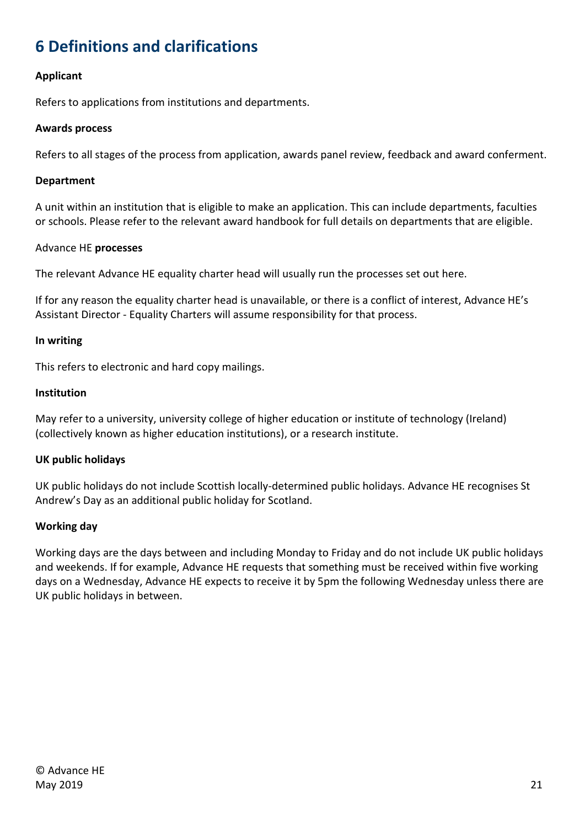# <span id="page-20-0"></span>**6 Definitions and clarifications**

#### **Applicant**

Refers to applications from institutions and departments.

#### **Awards process**

Refers to all stages of the process from application, awards panel review, feedback and award conferment.

#### **Department**

A unit within an institution that is eligible to make an application. This can include departments, faculties or schools. Please refer to the relevant award handbook for full details on departments that are eligible.

#### Advance HE **processes**

The relevant Advance HE equality charter head will usually run the processes set out here.

If for any reason the equality charter head is unavailable, or there is a conflict of interest, Advance HE's Assistant Director - Equality Charters will assume responsibility for that process.

#### **In writing**

This refers to electronic and hard copy mailings.

#### **Institution**

May refer to a university, university college of higher education or institute of technology (Ireland) (collectively known as higher education institutions), or a research institute.

#### **UK public holidays**

UK public holidays do not include Scottish locally-determined public holidays. Advance HE recognises St Andrew's Day as an additional public holiday for Scotland.

#### **Working day**

Working days are the days between and including Monday to Friday and do not include UK public holidays and weekends. If for example, Advance HE requests that something must be received within five working days on a Wednesday, Advance HE expects to receive it by 5pm the following Wednesday unless there are UK public holidays in between.